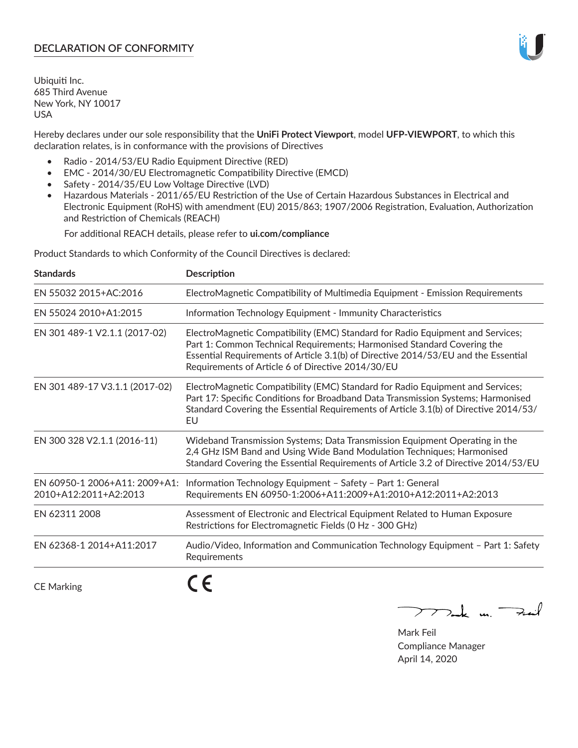# **DECLARATION OF CONFORMITY**

Ubiquiti Inc. 685 Third Avenue New York, NY 10017 USA

Hereby declares under our sole responsibility that the **UniFi Protect Viewport**, model **UFP-VIEWPORT**, to which this declaration relates, is in conformance with the provisions of Directives

- Radio 2014/53/EU Radio Equipment Directive (RED)
- EMC 2014/30/EU Electromagnetic Compatibility Directive (EMCD)
- Safety 2014/35/EU Low Voltage Directive (LVD)
- Hazardous Materials 2011/65/EU Restriction of the Use of Certain Hazardous Substances in Electrical and Electronic Equipment (RoHS) with amendment (EU) 2015/863; 1907/2006 Registration, Evaluation, Authorization and Restriction of Chemicals (REACH)

For additional REACH details, please refer to **ui.com/compliance**

Product Standards to which Conformity of the Council Directives is declared:

| <b>Standards</b>               | <b>Description</b>                                                                                                                                                                                                                                                                                   |
|--------------------------------|------------------------------------------------------------------------------------------------------------------------------------------------------------------------------------------------------------------------------------------------------------------------------------------------------|
| EN 55032 2015+AC:2016          | ElectroMagnetic Compatibility of Multimedia Equipment - Emission Requirements                                                                                                                                                                                                                        |
| EN 55024 2010+A1:2015          | Information Technology Equipment - Immunity Characteristics                                                                                                                                                                                                                                          |
| EN 301 489-1 V2.1.1 (2017-02)  | ElectroMagnetic Compatibility (EMC) Standard for Radio Equipment and Services;<br>Part 1: Common Technical Requirements; Harmonised Standard Covering the<br>Essential Requirements of Article 3.1(b) of Directive 2014/53/EU and the Essential<br>Requirements of Article 6 of Directive 2014/30/EU |
| EN 301 489-17 V3.1.1 (2017-02) | ElectroMagnetic Compatibility (EMC) Standard for Radio Equipment and Services;<br>Part 17: Specific Conditions for Broadband Data Transmission Systems; Harmonised<br>Standard Covering the Essential Requirements of Article 3.1(b) of Directive 2014/53/<br>EU                                     |
| EN 300 328 V2.1.1 (2016-11)    | Wideband Transmission Systems; Data Transmission Equipment Operating in the<br>2,4 GHz ISM Band and Using Wide Band Modulation Techniques; Harmonised<br>Standard Covering the Essential Requirements of Article 3.2 of Directive 2014/53/EU                                                         |
| 2010+A12:2011+A2:2013          | EN 60950-1 2006+A11: 2009+A1: Information Technology Equipment - Safety - Part 1: General<br>Requirements EN 60950-1:2006+A11:2009+A1:2010+A12:2011+A2:2013                                                                                                                                          |
| EN 62311 2008                  | Assessment of Electronic and Electrical Equipment Related to Human Exposure<br>Restrictions for Electromagnetic Fields (0 Hz - 300 GHz)                                                                                                                                                              |
| EN 62368-1 2014+A11:2017       | Audio/Video, Information and Communication Technology Equipment - Part 1: Safety<br>Requirements                                                                                                                                                                                                     |
| <b>CE Marking</b>              |                                                                                                                                                                                                                                                                                                      |

 $772$ ak m. Fail

Mark Feil Compliance Manager April 14, 2020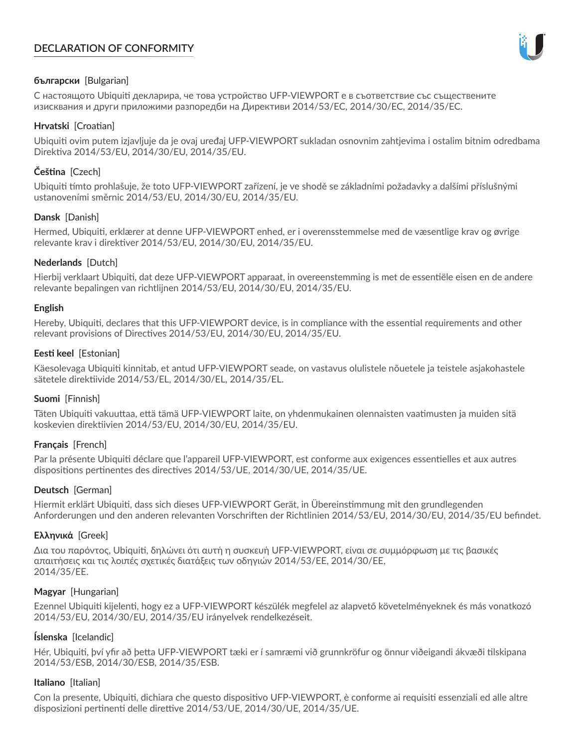# **DECLARATION OF CONFORMITY**



# **български** [Bulgarian]

С настоящото Ubiquiti декларира, че това устройство UFP-VIEWPORT е в съответствие със съществените изисквания и други приложими разпоредби на Директиви 2014/53/EC, 2014/30/ЕС, 2014/35/ЕС.

## **Hrvatski** [Croatian]

Ubiquiti ovim putem izjavljuje da je ovaj uređaj UFP-VIEWPORT sukladan osnovnim zahtjevima i ostalim bitnim odredbama Direktiva 2014/53/EU, 2014/30/EU, 2014/35/EU.

# **Čeština** [Czech]

Ubiquiti tímto prohlašuje, že toto UFP-VIEWPORT zařízení, je ve shodě se základními požadavky a dalšími příslušnými ustanoveními směrnic 2014/53/EU, 2014/30/EU, 2014/35/EU.

# **Dansk** [Danish]

Hermed, Ubiquiti, erklærer at denne UFP-VIEWPORT enhed, er i overensstemmelse med de væsentlige krav og øvrige relevante krav i direktiver 2014/53/EU, 2014/30/EU, 2014/35/EU.

# **Nederlands** [Dutch]

Hierbij verklaart Ubiquiti, dat deze UFP-VIEWPORT apparaat, in overeenstemming is met de essentiële eisen en de andere relevante bepalingen van richtlijnen 2014/53/EU, 2014/30/EU, 2014/35/EU.

## **English**

Hereby, Ubiquiti, declares that this UFP-VIEWPORT device, is in compliance with the essential requirements and other relevant provisions of Directives 2014/53/EU, 2014/30/EU, 2014/35/EU.

# **Eesti keel** [Estonian]

Käesolevaga Ubiquiti kinnitab, et antud UFP-VIEWPORT seade, on vastavus olulistele nõuetele ja teistele asjakohastele sätetele direktiivide 2014/53/EL, 2014/30/EL, 2014/35/EL.

## **Suomi** [Finnish]

Täten Ubiquiti vakuuttaa, että tämä UFP-VIEWPORT laite, on yhdenmukainen olennaisten vaatimusten ja muiden sitä koskevien direktiivien 2014/53/EU, 2014/30/EU, 2014/35/EU.

## **Français** [French]

Par la présente Ubiquiti déclare que l'appareil UFP-VIEWPORT, est conforme aux exigences essentielles et aux autres dispositions pertinentes des directives 2014/53/UE, 2014/30/UE, 2014/35/UE.

## **Deutsch** [German]

Hiermit erklärt Ubiquiti, dass sich dieses UFP-VIEWPORT Gerät, in Übereinstimmung mit den grundlegenden Anforderungen und den anderen relevanten Vorschriften der Richtlinien 2014/53/EU, 2014/30/EU, 2014/35/EU befindet.

## **Ελληνικά** [Greek]

Δια του παρόντος, Ubiquiti, δηλώνει ότι αυτή η συσκευή UFP-VIEWPORT, είναι σε συμμόρφωση με τις βασικές απαιτήσεις και τις λοιπές σχετικές διατάξεις των οδηγιών 2014/53/EE, 2014/30/EE, 2014/35/EE.

## **Magyar** [Hungarian]

Ezennel Ubiquiti kijelenti, hogy ez a UFP-VIEWPORT készülék megfelel az alapvető követelményeknek és más vonatkozó 2014/53/EU, 2014/30/EU, 2014/35/EU irányelvek rendelkezéseit.

## **Íslenska** [Icelandic]

Hér, Ubiquiti, því yfir að þetta UFP-VIEWPORT tæki er í samræmi við grunnkröfur og önnur viðeigandi ákvæði tilskipana 2014/53/ESB, 2014/30/ESB, 2014/35/ESB.

## **Italiano** [Italian]

Con la presente, Ubiquiti, dichiara che questo dispositivo UFP-VIEWPORT, è conforme ai requisiti essenziali ed alle altre disposizioni pertinenti delle direttive 2014/53/UE, 2014/30/UE, 2014/35/UE.